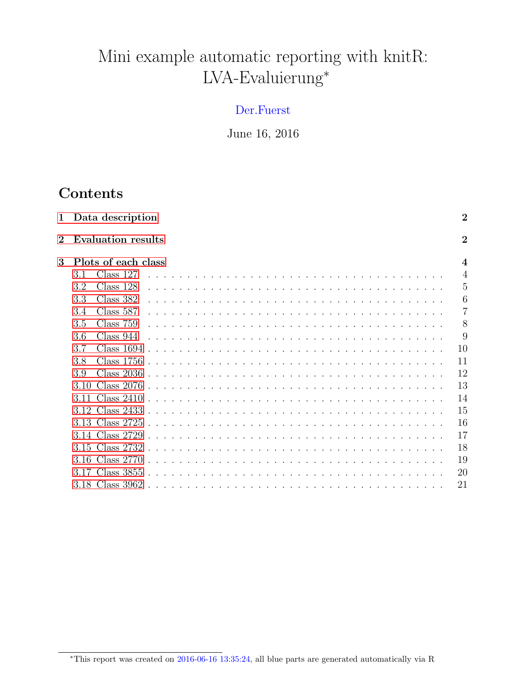# Mini example automatic reporting with knitR: LVA-Evaluierung<sup>∗</sup>

#### Der.Fuerst

June 16, 2016

## Contents

| 1              |      | Data description          |  |  |  |  |  |  |  |  |  |  |  |  |  |  | $\overline{2}$          |
|----------------|------|---------------------------|--|--|--|--|--|--|--|--|--|--|--|--|--|--|-------------------------|
| $\overline{2}$ |      | <b>Evaluation results</b> |  |  |  |  |  |  |  |  |  |  |  |  |  |  | $\overline{2}$          |
| 3              |      | Plots of each class       |  |  |  |  |  |  |  |  |  |  |  |  |  |  | $\overline{\mathbf{4}}$ |
|                | 3.1  | Class $127$               |  |  |  |  |  |  |  |  |  |  |  |  |  |  | $\overline{4}$          |
|                | 3.2  | Class 128                 |  |  |  |  |  |  |  |  |  |  |  |  |  |  | 5                       |
|                | 3.3  | Class 382                 |  |  |  |  |  |  |  |  |  |  |  |  |  |  | 6                       |
|                | 3.4  | Class 587                 |  |  |  |  |  |  |  |  |  |  |  |  |  |  | 7                       |
|                | 3.5  | Class 759                 |  |  |  |  |  |  |  |  |  |  |  |  |  |  | 8                       |
|                | 3.6  | Class 944                 |  |  |  |  |  |  |  |  |  |  |  |  |  |  | 9                       |
|                | 3.7  | Class 1694                |  |  |  |  |  |  |  |  |  |  |  |  |  |  | 10                      |
|                | 3.8  | Class 1756                |  |  |  |  |  |  |  |  |  |  |  |  |  |  | 11                      |
|                | 39   | Class $2036$              |  |  |  |  |  |  |  |  |  |  |  |  |  |  | 12                      |
|                | 3.10 | Class $2076$              |  |  |  |  |  |  |  |  |  |  |  |  |  |  | 13                      |
|                | 3.11 | Class $2410$              |  |  |  |  |  |  |  |  |  |  |  |  |  |  | 14                      |
|                | 3.12 | Class 2433                |  |  |  |  |  |  |  |  |  |  |  |  |  |  | 15                      |
|                |      | 3.13 Class 2725           |  |  |  |  |  |  |  |  |  |  |  |  |  |  | 16                      |
|                |      | 3.14 Class 2729           |  |  |  |  |  |  |  |  |  |  |  |  |  |  | 17                      |
|                |      | 3.15 Class 2732           |  |  |  |  |  |  |  |  |  |  |  |  |  |  | 18                      |
|                |      | 3.16 Class 2770           |  |  |  |  |  |  |  |  |  |  |  |  |  |  | 19                      |
|                |      | 3.17 Class 3855           |  |  |  |  |  |  |  |  |  |  |  |  |  |  | 20                      |
|                |      | 3.18 Class 3962           |  |  |  |  |  |  |  |  |  |  |  |  |  |  | 21                      |
|                |      |                           |  |  |  |  |  |  |  |  |  |  |  |  |  |  |                         |

<sup>∗</sup>This report was created on 2016-06-16 13:35:24, all blue parts are generated automatically via R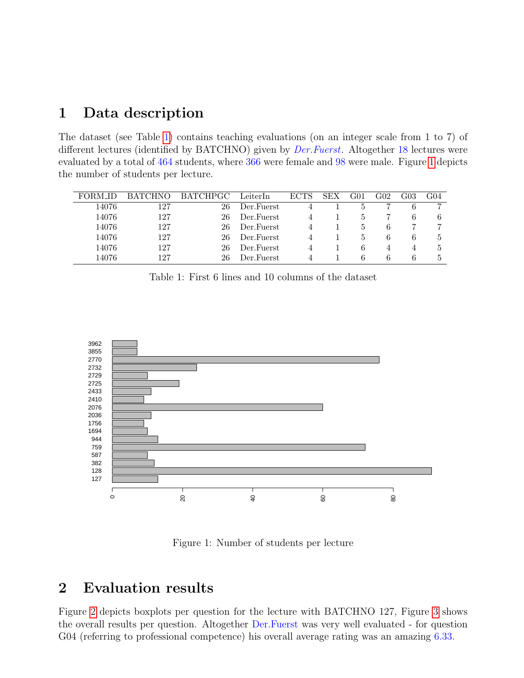### <span id="page-1-0"></span>1 Data description

The dataset (see Table [1\)](#page-1-2) contains teaching evaluations (on an integer scale from 1 to 7) of different lectures (identified by BATCHNO) given by *Der.Fuerst*. Altogether 18 lectures were evaluated by a total of 464 students, where 366 were female and 98 were male. Figure [1](#page-1-3) depicts the number of students per lecture.

|       | <b>BATCHNO</b> | <b>BATCHPGC</b> | LeiterIn    | <b>ECTS</b> | <b>SEX</b> | G01 | $\rm G02$ |   | G04 |
|-------|----------------|-----------------|-------------|-------------|------------|-----|-----------|---|-----|
| 14076 | 127            | 26              | Der.Fuerst  |             |            |     |           | 6 |     |
| 14076 | 127            | 26              | Der Fuerst  |             |            |     |           | 6 | 6   |
| 14076 | 127            | 26              | Der Fuerst  |             |            | Ð   | 6         |   |     |
| 14076 | 127            | 26              | Der Fuerst  |             |            | h,  | 6         | 6 |     |
| 14076 | 127            | 26              | Der. Fuerst |             |            | 6   |           | 4 | 5.  |
| 14076 | 127            | 26              | Der Fuerst  |             |            | h   | h         | b |     |

<span id="page-1-2"></span>Table 1: First 6 lines and 10 columns of the dataset



Figure 1: Number of students per lecture

#### <span id="page-1-3"></span><span id="page-1-1"></span>2 Evaluation results

Figure [2](#page-2-0) depicts boxplots per question for the lecture with BATCHNO 127, Figure [3](#page-2-1) shows the overall results per question. Altogether Der.Fuerst was very well evaluated - for question G04 (referring to professional competence) his overall average rating was an amazing 6.33.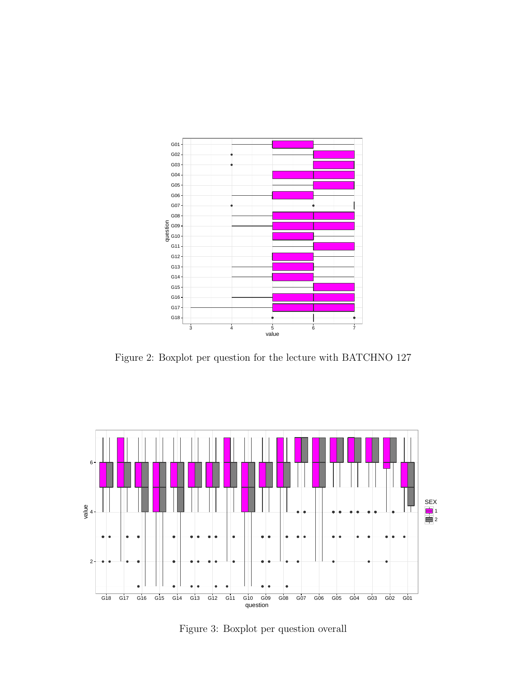

<span id="page-2-0"></span>Figure 2: Boxplot per question for the lecture with BATCHNO 127



<span id="page-2-1"></span>Figure 3: Boxplot per question overall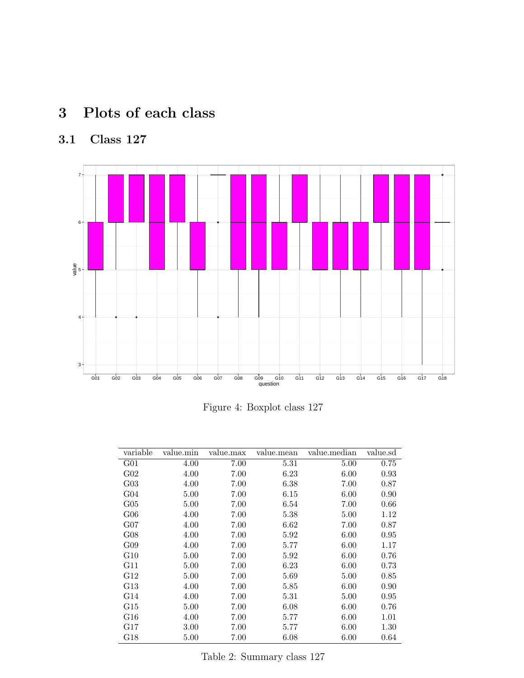# <span id="page-3-0"></span>3 Plots of each class

## <span id="page-3-1"></span>3.1 Class 127



Figure 4: Boxplot class 127

| variable        | value.min | value.max | value.mean | value.median | value.sd |
|-----------------|-----------|-----------|------------|--------------|----------|
| G <sub>01</sub> | 4.00      | 7.00      | 5.31       | 5.00         | 0.75     |
| G <sub>02</sub> | 4.00      | 7.00      | 6.23       | 6.00         | 0.93     |
| $G_{03}$        | 4.00      | 7.00      | 6.38       | 7.00         | 0.87     |
| G <sub>04</sub> | 5.00      | 7.00      | 6.15       | 6.00         | 0.90     |
| $G_{05}$        | 5.00      | 7.00      | 6.54       | 7.00         | 0.66     |
| $G_{06}$        | 4.00      | 7.00      | 5.38       | 5.00         | 1.12     |
| $G_{07}$        | 4.00      | 7.00      | 6.62       | 7.00         | 0.87     |
| G08             | 4.00      | 7.00      | 5.92       | 6.00         | 0.95     |
| G09             | 4.00      | 7.00      | 5.77       | 6.00         | 1.17     |
| G10             | 5.00      | 7.00      | 5.92       | 6.00         | 0.76     |
| G11             | 5.00      | 7.00      | 6.23       | 6.00         | 0.73     |
| G12             | 5.00      | 7.00      | 5.69       | 5.00         | 0.85     |
| G13             | 4.00      | 7.00      | 5.85       | 6.00         | 0.90     |
| G14             | 4.00      | 7.00      | 5.31       | 5.00         | 0.95     |
| G15             | 5.00      | 7.00      | 6.08       | 6.00         | 0.76     |
| G16             | 4.00      | 7.00      | 5.77       | 6.00         | 1.01     |
| G17             | 3.00      | 7.00      | 5.77       | 6.00         | 1.30     |
| G18             | 5.00      | 7.00      | 6.08       | 6.00         | 0.64     |

Table 2: Summary class 127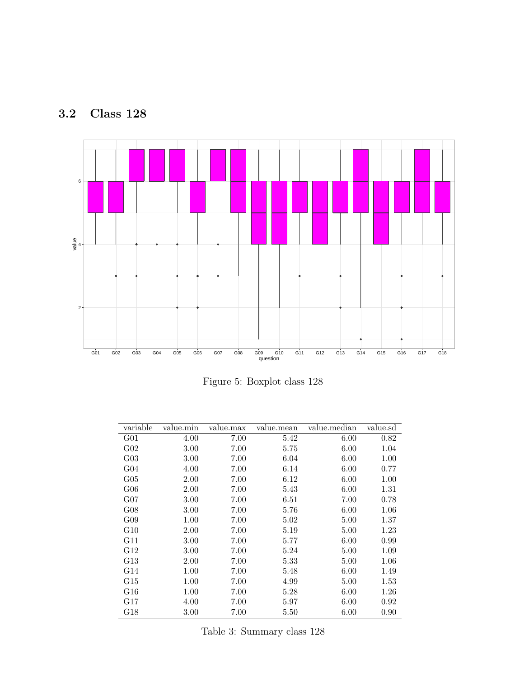<span id="page-4-0"></span>



Figure 5: Boxplot class 128

| variable        | value.min | value.max | value.mean | value.median | value.sd |
|-----------------|-----------|-----------|------------|--------------|----------|
| G <sub>01</sub> | 4.00      | 7.00      | 5.42       | 6.00         | 0.82     |
| $G_{02}$        | 3.00      | 7.00      | 5.75       | 6.00         | 1.04     |
| $G_{03}$        | 3.00      | 7.00      | 6.04       | 6.00         | 1.00     |
| G <sub>04</sub> | 4.00      | 7.00      | 6.14       | 6.00         | 0.77     |
| $G_{05}$        | 2.00      | 7.00      | 6.12       | 6.00         | 1.00     |
| $G_{06}$        | 2.00      | 7.00      | 5.43       | 6.00         | 1.31     |
| $G_{07}$        | 3.00      | 7.00      | 6.51       | 7.00         | 0.78     |
| G08             | 3.00      | 7.00      | 5.76       | 6.00         | $1.06\,$ |
| G09             | 1.00      | 7.00      | 5.02       | 5.00         | 1.37     |
| G10             | 2.00      | 7.00      | 5.19       | 5.00         | 1.23     |
| G11             | 3.00      | 7.00      | 5.77       | 6.00         | 0.99     |
| G12             | 3.00      | 7.00      | 5.24       | 5.00         | 1.09     |
| G13             | 2.00      | 7.00      | 5.33       | 5.00         | $1.06\,$ |
| G14             | 1.00      | 7.00      | 5.48       | 6.00         | 1.49     |
| G15             | 1.00      | 7.00      | 4.99       | 5.00         | 1.53     |
| ${\rm G}16$     | 1.00      | 7.00      | 5.28       | 6.00         | $1.26\,$ |
| G17             | 4.00      | 7.00      | 5.97       | 6.00         | 0.92     |
| G18             | 3.00      | 7.00      | 5.50       | 6.00         | 0.90     |

Table 3: Summary class 128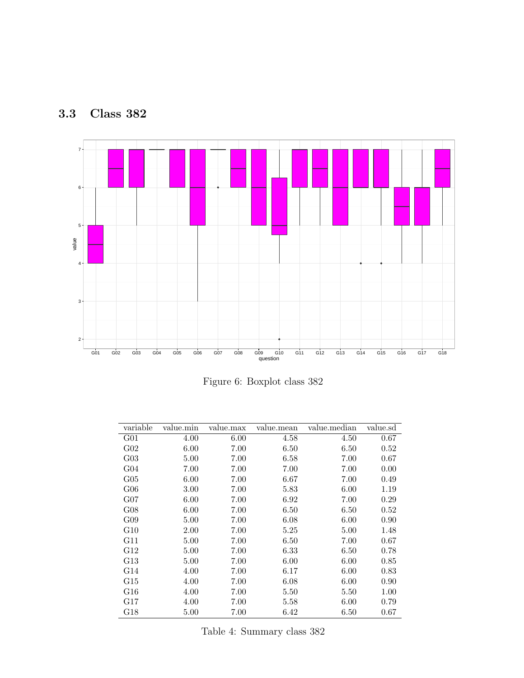<span id="page-5-0"></span>



Figure 6: Boxplot class 382

| variable        | value.min | value.max | value.mean | value.median | value.sd |
|-----------------|-----------|-----------|------------|--------------|----------|
| G <sub>01</sub> | 4.00      | 6.00      | 4.58       | 4.50         | 0.67     |
| G <sub>02</sub> | 6.00      | 7.00      | 6.50       | 6.50         | 0.52     |
| $G_{03}$        | 5.00      | 7.00      | 6.58       | 7.00         | 0.67     |
| G <sub>04</sub> | 7.00      | 7.00      | 7.00       | 7.00         | 0.00     |
| $G_{05}$        | 6.00      | 7.00      | 6.67       | 7.00         | 0.49     |
| $G_{06}$        | 3.00      | 7.00      | 5.83       | 6.00         | 1.19     |
| $G_{07}$        | 6.00      | 7.00      | 6.92       | 7.00         | 0.29     |
| G08             | 6.00      | 7.00      | 6.50       | 6.50         | 0.52     |
| G09             | 5.00      | 7.00      | 6.08       | 6.00         | 0.90     |
| G10             | 2.00      | 7.00      | 5.25       | 5.00         | 1.48     |
| G11             | 5.00      | 7.00      | 6.50       | 7.00         | $0.67\,$ |
| G12             | 5.00      | 7.00      | 6.33       | 6.50         | 0.78     |
| G13             | 5.00      | 7.00      | 6.00       | 6.00         | 0.85     |
| G14             | 4.00      | 7.00      | 6.17       | 6.00         | 0.83     |
| G15             | 4.00      | 7.00      | 6.08       | 6.00         | 0.90     |
| G16             | 4.00      | 7.00      | 5.50       | 5.50         | 1.00     |
| G17             | 4.00      | 7.00      | 5.58       | 6.00         | 0.79     |
| G18             | 5.00      | 7.00      | 6.42       | 6.50         | 0.67     |

Table 4: Summary class 382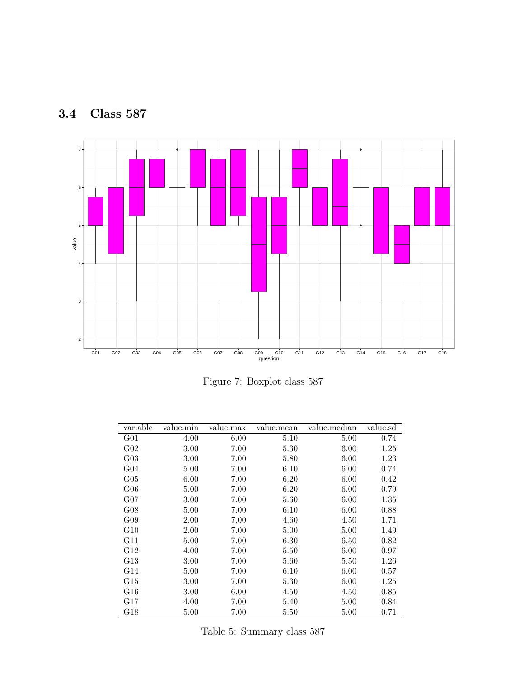<span id="page-6-0"></span>



Figure 7: Boxplot class 587

| variable        | value.min | value.max | value.mean | value.median | value.sd |
|-----------------|-----------|-----------|------------|--------------|----------|
| G <sub>01</sub> | 4.00      | 6.00      | 5.10       | 5.00         | 0.74     |
| G <sub>02</sub> | 3.00      | 7.00      | 5.30       | 6.00         | 1.25     |
| $G_{03}$        | 3.00      | 7.00      | 5.80       | 6.00         | 1.23     |
| G <sub>04</sub> | 5.00      | 7.00      | 6.10       | 6.00         | 0.74     |
| $G_{05}$        | 6.00      | 7.00      | 6.20       | 6.00         | 0.42     |
| $G_{06}$        | 5.00      | 7.00      | 6.20       | 6.00         | 0.79     |
| $G_{07}$        | 3.00      | 7.00      | 5.60       | 6.00         | 1.35     |
| G08             | 5.00      | 7.00      | 6.10       | 6.00         | 0.88     |
| G09             | 2.00      | 7.00      | 4.60       | 4.50         | 1.71     |
| G10             | 2.00      | 7.00      | 5.00       | 5.00         | 1.49     |
| G11             | 5.00      | 7.00      | 6.30       | 6.50         | 0.82     |
| G12             | 4.00      | 7.00      | 5.50       | 6.00         | 0.97     |
| G13             | 3.00      | 7.00      | 5.60       | 5.50         | 1.26     |
| G14             | 5.00      | 7.00      | 6.10       | 6.00         | 0.57     |
| G15             | 3.00      | 7.00      | 5.30       | 6.00         | 1.25     |
| G16             | 3.00      | 6.00      | 4.50       | 4.50         | 0.85     |
| G17             | 4.00      | 7.00      | 5.40       | 5.00         | 0.84     |
| G18             | 5.00      | 7.00      | 5.50       | 5.00         | 0.71     |

Table 5: Summary class 587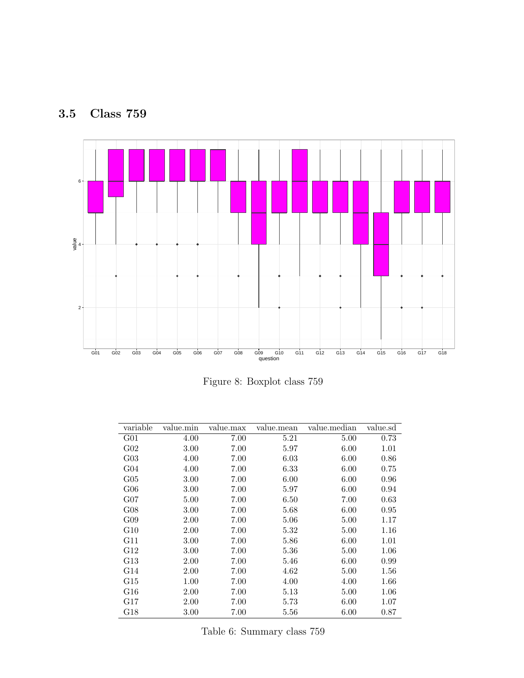<span id="page-7-0"></span>



Figure 8: Boxplot class 759

| variable        | value.min | value.max | value.mean | value.median | value.sd |
|-----------------|-----------|-----------|------------|--------------|----------|
| G <sub>01</sub> | 4.00      | 7.00      | 5.21       | 5.00         | 0.73     |
| G <sub>02</sub> | 3.00      | 7.00      | 5.97       | 6.00         | 1.01     |
| $G_{03}$        | 4.00      | 7.00      | 6.03       | 6.00         | 0.86     |
| G <sub>04</sub> | 4.00      | 7.00      | 6.33       | 6.00         | 0.75     |
| $G_{05}$        | 3.00      | 7.00      | 6.00       | 6.00         | 0.96     |
| $G_{06}$        | 3.00      | 7.00      | 5.97       | 6.00         | 0.94     |
| $G_{07}$        | 5.00      | 7.00      | 6.50       | 7.00         | 0.63     |
| G08             | 3.00      | 7.00      | 5.68       | 6.00         | 0.95     |
| G09             | 2.00      | 7.00      | 5.06       | 5.00         | 1.17     |
| G10             | 2.00      | 7.00      | 5.32       | 5.00         | 1.16     |
| G11             | 3.00      | 7.00      | 5.86       | 6.00         | 1.01     |
| G12             | 3.00      | 7.00      | 5.36       | 5.00         | 1.06     |
| G13             | 2.00      | 7.00      | 5.46       | 6.00         | 0.99     |
| G14             | 2.00      | 7.00      | 4.62       | 5.00         | 1.56     |
| G15             | 1.00      | 7.00      | 4.00       | 4.00         | 1.66     |
| G16             | 2.00      | 7.00      | 5.13       | 5.00         | 1.06     |
| G17             | 2.00      | 7.00      | 5.73       | 6.00         | 1.07     |
| G18             | $3.00\,$  | 7.00      | $5.56\,$   | 6.00         | $0.87\,$ |

Table 6: Summary class 759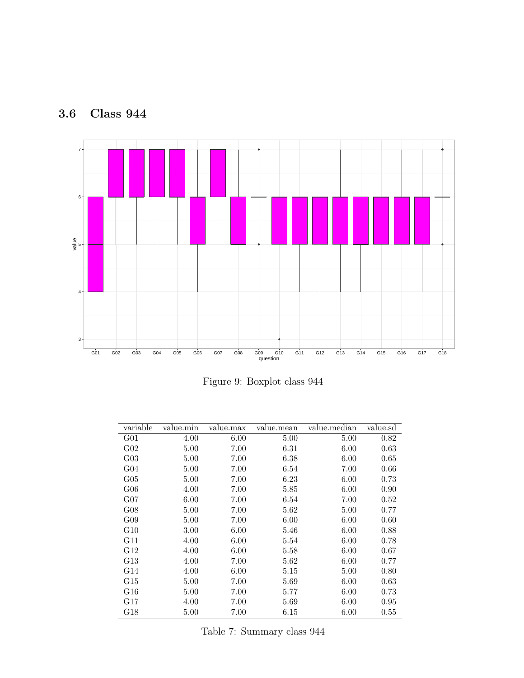<span id="page-8-0"></span>



Figure 9: Boxplot class 944

| variable        | value.min | value.max | value.mean | value.median | value.sd   |
|-----------------|-----------|-----------|------------|--------------|------------|
| G <sub>01</sub> | 4.00      | 6.00      | 5.00       | 5.00         | 0.82       |
| $G_{02}$        | 5.00      | 7.00      | 6.31       | 6.00         | 0.63       |
| $G_{03}$        | 5.00      | 7.00      | 6.38       | 6.00         | 0.65       |
| G <sub>04</sub> | 5.00      | 7.00      | 6.54       | 7.00         | 0.66       |
| $G_{05}$        | 5.00      | 7.00      | 6.23       | 6.00         | 0.73       |
| $G_{06}$        | 4.00      | 7.00      | 5.85       | 6.00         | 0.90       |
| $G_{07}$        | 6.00      | 7.00      | 6.54       | 7.00         | 0.52       |
| G08             | 5.00      | 7.00      | 5.62       | 5.00         | 0.77       |
| G09             | 5.00      | 7.00      | 6.00       | 6.00         | 0.60       |
| G10             | 3.00      | 6.00      | 5.46       | 6.00         | 0.88       |
| G11             | 4.00      | 6.00      | 5.54       | 6.00         | 0.78       |
| G12             | 4.00      | 6.00      | 5.58       | 6.00         | 0.67       |
| G13             | 4.00      | 7.00      | 5.62       | 6.00         | 0.77       |
| G14             | 4.00      | 6.00      | 5.15       | 5.00         | 0.80       |
| G15             | 5.00      | 7.00      | 5.69       | 6.00         | 0.63       |
| G16             | 5.00      | 7.00      | 5.77       | 6.00         | 0.73       |
| G17             | 4.00      | 7.00      | 5.69       | 6.00         | 0.95       |
| G18             | 5.00      | 7.00      | 6.15       | 6.00         | $\rm 0.55$ |

Table 7: Summary class 944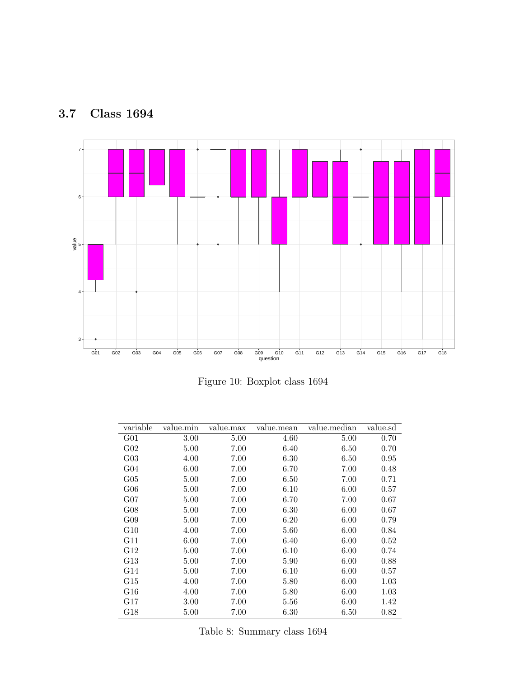<span id="page-9-0"></span>



Figure 10: Boxplot class 1694

| variable        | value.min | value.max | value.mean | value.median | value.sd |
|-----------------|-----------|-----------|------------|--------------|----------|
| G <sub>01</sub> | 3.00      | 5.00      | 4.60       | 5.00         | 0.70     |
| G <sub>02</sub> | 5.00      | 7.00      | 6.40       | 6.50         | 0.70     |
| $G_{03}$        | 4.00      | 7.00      | 6.30       | 6.50         | 0.95     |
| G <sub>04</sub> | 6.00      | 7.00      | 6.70       | 7.00         | 0.48     |
| $G_{05}$        | 5.00      | 7.00      | 6.50       | 7.00         | 0.71     |
| $G_{06}$        | 5.00      | 7.00      | 6.10       | 6.00         | 0.57     |
| $G_{07}$        | 5.00      | 7.00      | 6.70       | 7.00         | 0.67     |
| G08             | 5.00      | 7.00      | 6.30       | 6.00         | 0.67     |
| G09             | 5.00      | 7.00      | 6.20       | 6.00         | 0.79     |
| G10             | 4.00      | 7.00      | 5.60       | 6.00         | 0.84     |
| G11             | 6.00      | 7.00      | 6.40       | 6.00         | 0.52     |
| G12             | 5.00      | 7.00      | 6.10       | 6.00         | 0.74     |
| G13             | 5.00      | 7.00      | 5.90       | 6.00         | 0.88     |
| G14             | 5.00      | 7.00      | 6.10       | 6.00         | 0.57     |
| G15             | 4.00      | 7.00      | 5.80       | 6.00         | 1.03     |
| G16             | 4.00      | 7.00      | 5.80       | 6.00         | 1.03     |
| G17             | 3.00      | 7.00      | 5.56       | 6.00         | 1.42     |
| G18             | 5.00      | 7.00      | 6.30       | $6.50\,$     | 0.82     |

Table 8: Summary class 1694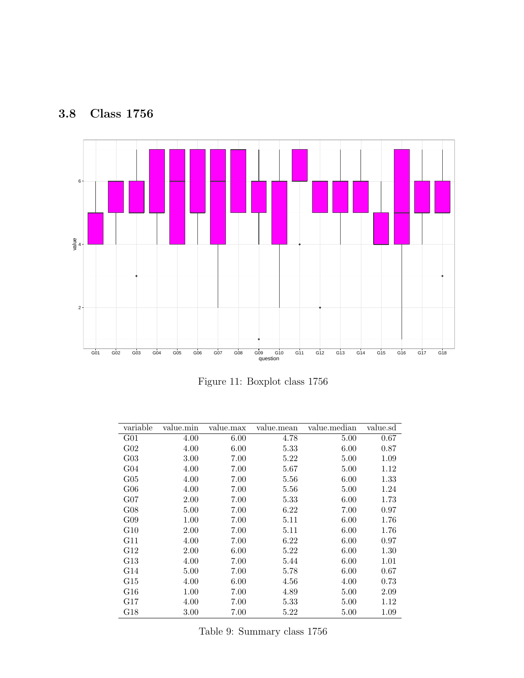<span id="page-10-0"></span>



Figure 11: Boxplot class 1756

| variable        | value.min | value.max | value.mean | value.median | value.sd |
|-----------------|-----------|-----------|------------|--------------|----------|
| G <sub>01</sub> | 4.00      | 6.00      | 4.78       | 5.00         | 0.67     |
| G <sub>02</sub> | 4.00      | 6.00      | 5.33       | 6.00         | 0.87     |
| $G_{03}$        | 3.00      | 7.00      | 5.22       | 5.00         | 1.09     |
| G <sub>04</sub> | 4.00      | 7.00      | 5.67       | 5.00         | 1.12     |
| $G_{05}$        | 4.00      | 7.00      | 5.56       | 6.00         | 1.33     |
| $G_{06}$        | 4.00      | 7.00      | 5.56       | 5.00         | 1.24     |
| $G_{07}$        | 2.00      | 7.00      | 5.33       | 6.00         | 1.73     |
| G08             | 5.00      | 7.00      | 6.22       | 7.00         | 0.97     |
| G09             | 1.00      | 7.00      | 5.11       | 6.00         | 1.76     |
| G10             | 2.00      | 7.00      | 5.11       | 6.00         | 1.76     |
| G11             | 4.00      | 7.00      | 6.22       | 6.00         | 0.97     |
| G12             | 2.00      | 6.00      | 5.22       | 6.00         | 1.30     |
| G13             | 4.00      | 7.00      | 5.44       | 6.00         | 1.01     |
| G14             | 5.00      | 7.00      | 5.78       | 6.00         | 0.67     |
| G15             | 4.00      | $6.00\,$  | 4.56       | 4.00         | 0.73     |
| ${\rm G}16$     | 1.00      | 7.00      | 4.89       | 5.00         | 2.09     |
| G17             | 4.00      | 7.00      | 5.33       | 5.00         | 1.12     |
| G18             | $3.00\,$  | 7.00      | 5.22       | 5.00         | 1.09     |

Table 9: Summary class 1756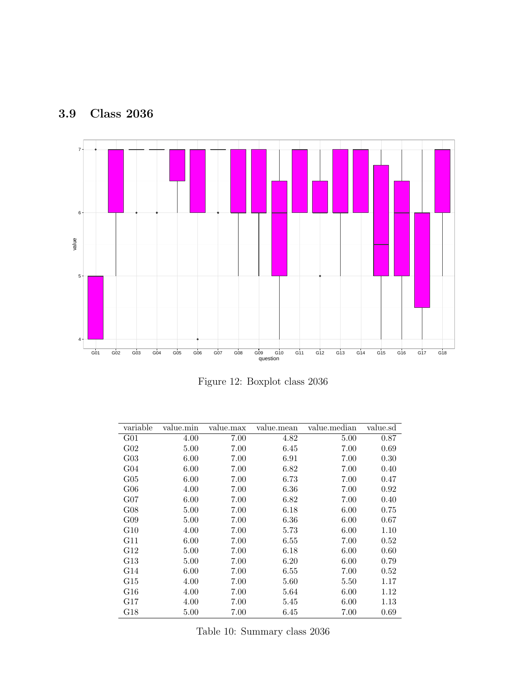

<span id="page-11-0"></span>3.9 Class 2036

Figure 12: Boxplot class 2036

| variable        | value.min | value.max | value.mean | value.median | value.sd |
|-----------------|-----------|-----------|------------|--------------|----------|
| G <sub>01</sub> | 4.00      | 7.00      | 4.82       | 5.00         | 0.87     |
| G <sub>02</sub> | 5.00      | 7.00      | 6.45       | 7.00         | 0.69     |
| $G_{03}$        | 6.00      | 7.00      | 6.91       | 7.00         | 0.30     |
| G <sub>04</sub> | 6.00      | 7.00      | 6.82       | 7.00         | 0.40     |
| $G_{05}$        | 6.00      | 7.00      | 6.73       | 7.00         | 0.47     |
| $G_{06}$        | 4.00      | 7.00      | 6.36       | 7.00         | 0.92     |
| $G_{07}$        | 6.00      | 7.00      | 6.82       | 7.00         | 0.40     |
| G08             | 5.00      | 7.00      | 6.18       | 6.00         | 0.75     |
| G09             | 5.00      | 7.00      | 6.36       | 6.00         | 0.67     |
| G10             | 4.00      | 7.00      | 5.73       | 6.00         | 1.10     |
| G11             | 6.00      | 7.00      | 6.55       | 7.00         | 0.52     |
| G12             | 5.00      | 7.00      | 6.18       | 6.00         | 0.60     |
| G13             | 5.00      | 7.00      | 6.20       | 6.00         | 0.79     |
| G14             | 6.00      | 7.00      | 6.55       | 7.00         | 0.52     |
| G15             | 4.00      | 7.00      | 5.60       | 5.50         | 1.17     |
| ${\rm G}16$     | 4.00      | 7.00      | 5.64       | 6.00         | 1.12     |
| G17             | 4.00      | 7.00      | 5.45       | 6.00         | 1.13     |
| G18             | 5.00      | 7.00      | 6.45       | 7.00         | 0.69     |

Table 10: Summary class 2036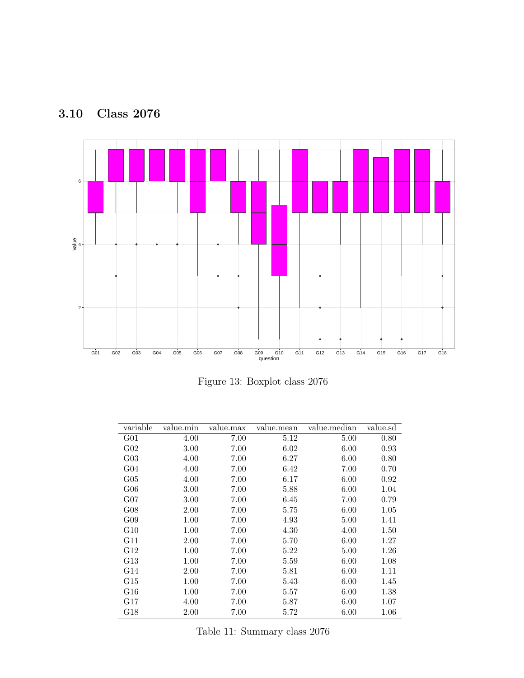<span id="page-12-0"></span>



Figure 13: Boxplot class 2076

| variable        | value.min | value.max | value.mean | value.median | value.sd |
|-----------------|-----------|-----------|------------|--------------|----------|
| G <sub>01</sub> | 4.00      | 7.00      | 5.12       | 5.00         | 0.80     |
| G <sub>02</sub> | 3.00      | 7.00      | 6.02       | 6.00         | 0.93     |
| $G_{03}$        | 4.00      | 7.00      | 6.27       | 6.00         | 0.80     |
| G <sub>04</sub> | 4.00      | 7.00      | 6.42       | 7.00         | 0.70     |
| $G_{05}$        | 4.00      | 7.00      | 6.17       | 6.00         | 0.92     |
| $G_{06}$        | 3.00      | 7.00      | 5.88       | 6.00         | 1.04     |
| $G_{07}$        | 3.00      | 7.00      | 6.45       | 7.00         | 0.79     |
| G08             | 2.00      | 7.00      | 5.75       | 6.00         | 1.05     |
| G09             | 1.00      | 7.00      | 4.93       | 5.00         | 1.41     |
| G10             | 1.00      | 7.00      | 4.30       | 4.00         | 1.50     |
| G11             | 2.00      | 7.00      | 5.70       | 6.00         | 1.27     |
| G12             | 1.00      | 7.00      | $5.22\,$   | 5.00         | 1.26     |
| G13             | 1.00      | 7.00      | 5.59       | 6.00         | 1.08     |
| G14             | 2.00      | 7.00      | 5.81       | 6.00         | 1.11     |
| G15             | 1.00      | 7.00      | 5.43       | 6.00         | 1.45     |
| ${\rm G}16$     | 1.00      | 7.00      | 5.57       | 6.00         | 1.38     |
| G17             | 4.00      | 7.00      | 5.87       | 6.00         | 1.07     |
| G18             | 2.00      | 7.00      | 5.72       | 6.00         | 1.06     |

Table 11: Summary class 2076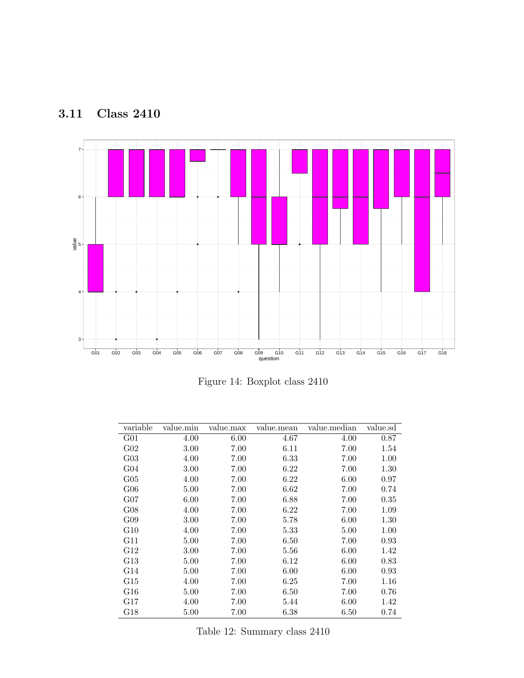<span id="page-13-0"></span>



Figure 14: Boxplot class 2410

| variable        | value.min | value.max | value.mean | value.median | value.sd |
|-----------------|-----------|-----------|------------|--------------|----------|
| G <sub>01</sub> | 4.00      | 6.00      | 4.67       | 4.00         | 0.87     |
| G <sub>02</sub> | 3.00      | 7.00      | 6.11       | 7.00         | 1.54     |
| $G_{03}$        | 4.00      | 7.00      | 6.33       | 7.00         | 1.00     |
| G <sub>04</sub> | 3.00      | 7.00      | 6.22       | 7.00         | 1.30     |
| $G_{05}$        | 4.00      | 7.00      | 6.22       | 6.00         | 0.97     |
| $G_{06}$        | 5.00      | 7.00      | 6.62       | 7.00         | 0.74     |
| $G_{07}$        | 6.00      | 7.00      | 6.88       | 7.00         | 0.35     |
| G08             | 4.00      | 7.00      | 6.22       | 7.00         | 1.09     |
| G09             | 3.00      | 7.00      | 5.78       | 6.00         | 1.30     |
| G10             | 4.00      | 7.00      | 5.33       | 5.00         | 1.00     |
| G11             | 5.00      | 7.00      | 6.50       | 7.00         | 0.93     |
| G12             | 3.00      | 7.00      | 5.56       | 6.00         | 1.42     |
| G13             | 5.00      | 7.00      | 6.12       | 6.00         | 0.83     |
| G14             | 5.00      | 7.00      | 6.00       | 6.00         | 0.93     |
| G15             | 4.00      | 7.00      | 6.25       | 7.00         | 1.16     |
| G16             | 5.00      | 7.00      | 6.50       | 7.00         | 0.76     |
| G17             | 4.00      | 7.00      | 5.44       | 6.00         | 1.42     |
| G18             | 5.00      | $7.00\,$  | 6.38       | 6.50         | 0.74     |

Table 12: Summary class 2410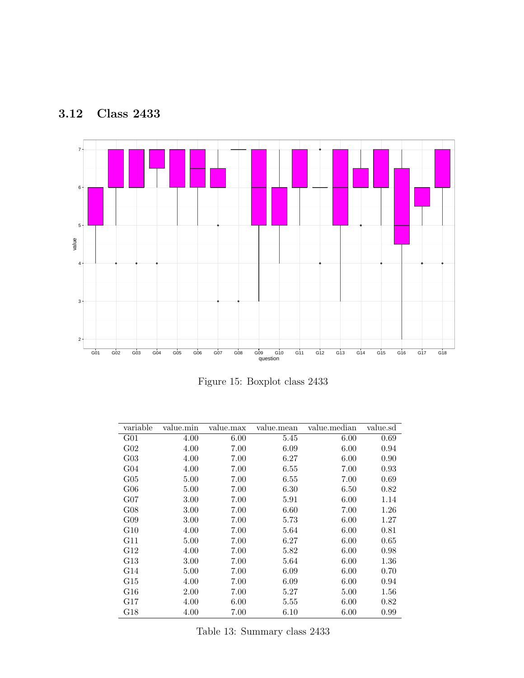<span id="page-14-0"></span>



Figure 15: Boxplot class 2433

| variable        | value.min | value.max | value.mean | value.median | value.sd |
|-----------------|-----------|-----------|------------|--------------|----------|
| G <sub>01</sub> | 4.00      | 6.00      | 5.45       | 6.00         | 0.69     |
| G <sub>02</sub> | 4.00      | 7.00      | 6.09       | 6.00         | 0.94     |
| $G_{03}$        | 4.00      | 7.00      | 6.27       | 6.00         | 0.90     |
| G <sub>04</sub> | 4.00      | 7.00      | 6.55       | 7.00         | 0.93     |
| $G_{05}$        | 5.00      | 7.00      | 6.55       | 7.00         | 0.69     |
| $G_{06}$        | 5.00      | 7.00      | 6.30       | 6.50         | 0.82     |
| $G_{07}$        | 3.00      | 7.00      | 5.91       | 6.00         | 1.14     |
| G08             | 3.00      | 7.00      | 6.60       | 7.00         | 1.26     |
| G09             | 3.00      | 7.00      | 5.73       | 6.00         | 1.27     |
| G10             | 4.00      | 7.00      | 5.64       | 6.00         | 0.81     |
| G11             | 5.00      | 7.00      | 6.27       | 6.00         | 0.65     |
| G12             | 4.00      | 7.00      | 5.82       | 6.00         | 0.98     |
| G13             | 3.00      | 7.00      | 5.64       | 6.00         | 1.36     |
| G14             | 5.00      | 7.00      | 6.09       | 6.00         | 0.70     |
| G15             | 4.00      | 7.00      | 6.09       | 6.00         | 0.94     |
| G16             | 2.00      | 7.00      | 5.27       | 5.00         | 1.56     |
| G17             | 4.00      | 6.00      | 5.55       | 6.00         | 0.82     |
| G18             | 4.00      | 7.00      | 6.10       | 6.00         | 0.99     |

Table 13: Summary class 2433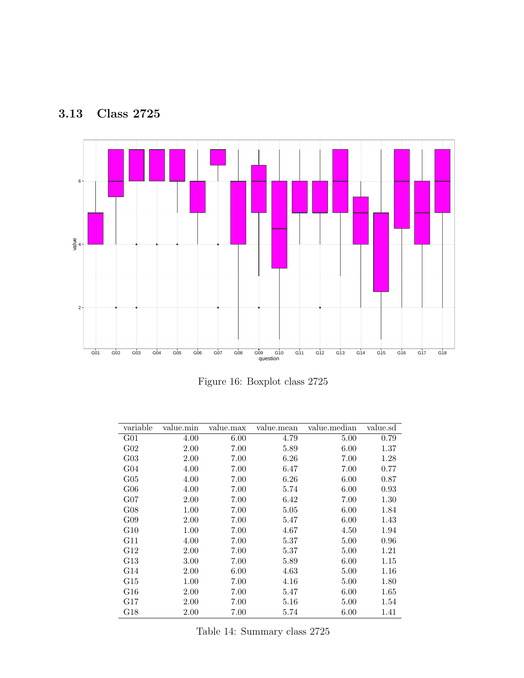<span id="page-15-0"></span>



Figure 16: Boxplot class 2725

| variable        | value.min | value.max | value.mean | value.median | value.sd |
|-----------------|-----------|-----------|------------|--------------|----------|
| G <sub>01</sub> | 4.00      | 6.00      | 4.79       | 5.00         | 0.79     |
| G <sub>02</sub> | 2.00      | 7.00      | 5.89       | 6.00         | 1.37     |
| $G_{03}$        | 2.00      | 7.00      | 6.26       | 7.00         | 1.28     |
| G <sub>04</sub> | 4.00      | 7.00      | 6.47       | 7.00         | 0.77     |
| $G_{05}$        | 4.00      | 7.00      | 6.26       | 6.00         | 0.87     |
| $G_{06}$        | 4.00      | 7.00      | 5.74       | 6.00         | 0.93     |
| $G_{07}$        | 2.00      | 7.00      | 6.42       | 7.00         | 1.30     |
| G08             | 1.00      | 7.00      | 5.05       | 6.00         | 1.84     |
| G09             | 2.00      | 7.00      | 5.47       | 6.00         | 1.43     |
| G10             | 1.00      | 7.00      | 4.67       | 4.50         | 1.94     |
| G11             | 4.00      | 7.00      | 5.37       | 5.00         | 0.96     |
| G12             | 2.00      | 7.00      | 5.37       | 5.00         | 1.21     |
| G13             | 3.00      | 7.00      | 5.89       | 6.00         | 1.15     |
| G14             | 2.00      | 6.00      | 4.63       | 5.00         | 1.16     |
| G15             | 1.00      | 7.00      | 4.16       | 5.00         | 1.80     |
| G16             | 2.00      | 7.00      | 5.47       | 6.00         | 1.65     |
| G17             | 2.00      | 7.00      | 5.16       | 5.00         | 1.54     |
| G18             | 2.00      | 7.00      | 5.74       | 6.00         | 1.41     |

Table 14: Summary class 2725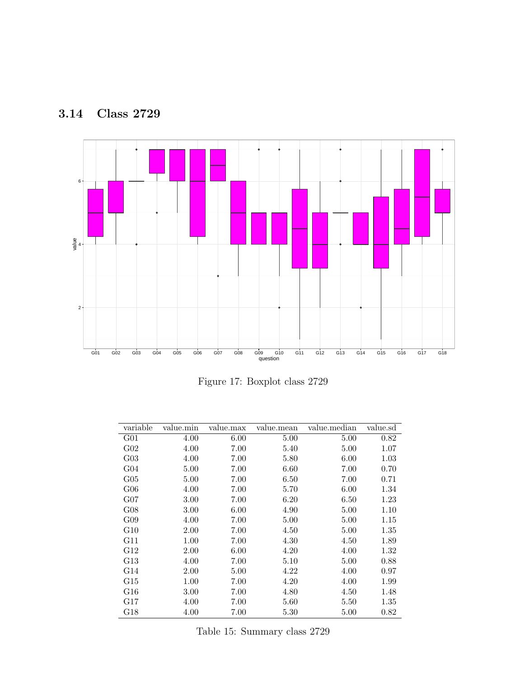<span id="page-16-0"></span>



Figure 17: Boxplot class 2729

| variable        | value.min | value.max | value.mean | value.median | value.sd |
|-----------------|-----------|-----------|------------|--------------|----------|
| G <sub>01</sub> | 4.00      | 6.00      | 5.00       | 5.00         | 0.82     |
| G <sub>02</sub> | 4.00      | 7.00      | 5.40       | 5.00         | 1.07     |
| $G_{03}$        | 4.00      | 7.00      | 5.80       | 6.00         | 1.03     |
| G <sub>04</sub> | 5.00      | 7.00      | 6.60       | 7.00         | 0.70     |
| $G_{05}$        | 5.00      | 7.00      | 6.50       | 7.00         | 0.71     |
| $G_{06}$        | 4.00      | 7.00      | 5.70       | 6.00         | 1.34     |
| $G_{07}$        | 3.00      | 7.00      | 6.20       | 6.50         | 1.23     |
| G08             | 3.00      | 6.00      | 4.90       | 5.00         | 1.10     |
| G09             | 4.00      | 7.00      | 5.00       | 5.00         | 1.15     |
| G10             | 2.00      | 7.00      | 4.50       | 5.00         | 1.35     |
| G11             | 1.00      | 7.00      | 4.30       | 4.50         | 1.89     |
| G12             | 2.00      | 6.00      | 4.20       | 4.00         | 1.32     |
| G13             | 4.00      | 7.00      | 5.10       | 5.00         | 0.88     |
| G14             | 2.00      | 5.00      | 4.22       | 4.00         | 0.97     |
| G15             | 1.00      | 7.00      | 4.20       | 4.00         | 1.99     |
| ${\rm G}16$     | 3.00      | 7.00      | 4.80       | 4.50         | 1.48     |
| G17             | 4.00      | 7.00      | 5.60       | 5.50         | 1.35     |
| G18             | 4.00      | 7.00      | 5.30       | 5.00         | 0.82     |

Table 15: Summary class 2729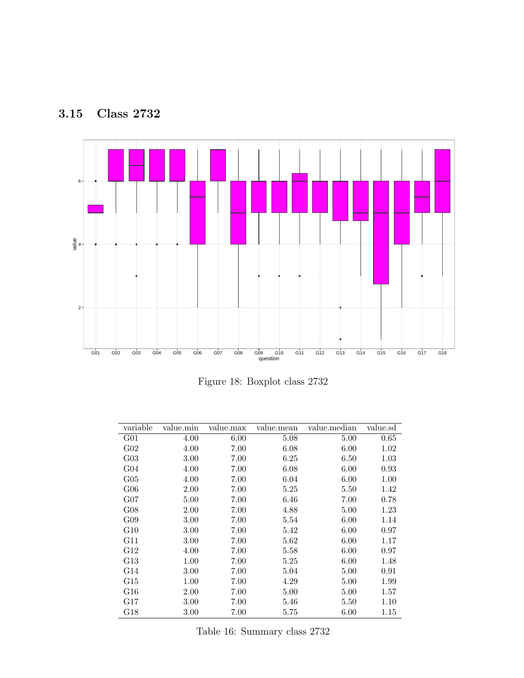<span id="page-17-0"></span>



Figure 18: Boxplot class 2732

| variable        | value.min | value.max | value.mean | value.median | value.sd |
|-----------------|-----------|-----------|------------|--------------|----------|
| G <sub>01</sub> | 4.00      | 6.00      | 5.08       | 5.00         | 0.65     |
| G <sub>02</sub> | 4.00      | 7.00      | 6.08       | 6.00         | 1.02     |
| $G_{03}$        | 3.00      | 7.00      | 6.25       | 6.50         | 1.03     |
| G <sub>04</sub> | 4.00      | 7.00      | 6.08       | 6.00         | 0.93     |
| $G_{05}$        | 4.00      | 7.00      | 6.04       | 6.00         | 1.00     |
| $G_{06}$        | 2.00      | 7.00      | 5.25       | 5.50         | 1.42     |
| $G_{07}$        | 5.00      | 7.00      | 6.46       | 7.00         | 0.78     |
| G08             | 2.00      | 7.00      | 4.88       | 5.00         | 1.23     |
| G09             | 3.00      | 7.00      | 5.54       | 6.00         | 1.14     |
| G10             | 3.00      | 7.00      | 5.42       | 6.00         | 0.97     |
| G11             | 3.00      | 7.00      | 5.62       | 6.00         | 1.17     |
| G12             | 4.00      | 7.00      | 5.58       | 6.00         | 0.97     |
| G13             | 1.00      | 7.00      | 5.25       | 6.00         | 1.48     |
| G14             | 3.00      | 7.00      | 5.04       | 5.00         | 0.91     |
| G15             | 1.00      | 7.00      | 4.29       | 5.00         | 1.99     |
| G16             | 2.00      | 7.00      | 5.00       | 5.00         | 1.57     |
| G17             | 3.00      | 7.00      | 5.46       | 5.50         | 1.10     |
| G18             | $3.00\,$  | 7.00      | $5.75\,$   | 6.00         | 1.15     |

Table 16: Summary class 2732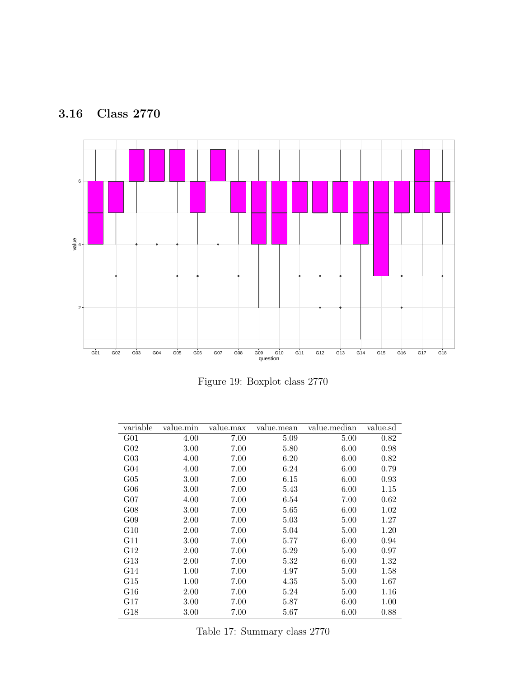<span id="page-18-0"></span>



Figure 19: Boxplot class 2770

| variable        | value.min | value.max | value.mean | value.median | value.sd |
|-----------------|-----------|-----------|------------|--------------|----------|
| G <sub>01</sub> | 4.00      | 7.00      | 5.09       | 5.00         | 0.82     |
| $G_{02}$        | 3.00      | $7.00\,$  | 5.80       | 6.00         | 0.98     |
| $G_{03}$        | 4.00      | 7.00      | 6.20       | 6.00         | 0.82     |
| G <sub>04</sub> | 4.00      | 7.00      | 6.24       | 6.00         | 0.79     |
| $G_{05}$        | 3.00      | 7.00      | 6.15       | 6.00         | 0.93     |
| $G_{06}$        | 3.00      | 7.00      | 5.43       | 6.00         | 1.15     |
| $G_{07}$        | 4.00      | 7.00      | 6.54       | 7.00         | 0.62     |
| G08             | 3.00      | 7.00      | 5.65       | 6.00         | 1.02     |
| G09             | 2.00      | 7.00      | 5.03       | 5.00         | 1.27     |
| G10             | 2.00      | 7.00      | 5.04       | 5.00         | 1.20     |
| G11             | 3.00      | 7.00      | 5.77       | 6.00         | 0.94     |
| G12             | 2.00      | 7.00      | 5.29       | 5.00         | 0.97     |
| G13             | 2.00      | 7.00      | 5.32       | 6.00         | 1.32     |
| G14             | 1.00      | 7.00      | 4.97       | 5.00         | 1.58     |
| G15             | 1.00      | 7.00      | 4.35       | 5.00         | 1.67     |
| G16             | 2.00      | 7.00      | 5.24       | 5.00         | $1.16\,$ |
| G17             | 3.00      | 7.00      | 5.87       | 6.00         | 1.00     |
| G18             | 3.00      | 7.00      | 5.67       | 6.00         | 0.88     |

Table 17: Summary class 2770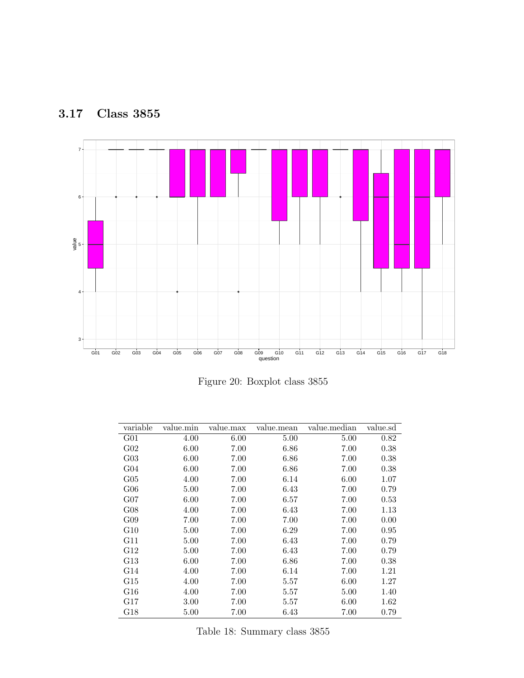<span id="page-19-0"></span>



Figure 20: Boxplot class 3855

| variable        | value.min | value.max | value.mean | value.median | value.sd |
|-----------------|-----------|-----------|------------|--------------|----------|
| G <sub>01</sub> | 4.00      | 6.00      | 5.00       | 5.00         | 0.82     |
| G <sub>02</sub> | 6.00      | 7.00      | 6.86       | 7.00         | 0.38     |
| $G_{03}$        | 6.00      | 7.00      | 6.86       | 7.00         | 0.38     |
| G <sub>04</sub> | 6.00      | 7.00      | 6.86       | 7.00         | 0.38     |
| $G_{05}$        | 4.00      | 7.00      | 6.14       | 6.00         | 1.07     |
| $G_{06}$        | 5.00      | 7.00      | 6.43       | 7.00         | 0.79     |
| $G_{07}$        | 6.00      | 7.00      | 6.57       | 7.00         | 0.53     |
| G08             | 4.00      | 7.00      | 6.43       | 7.00         | 1.13     |
| G09             | 7.00      | 7.00      | 7.00       | 7.00         | 0.00     |
| G10             | 5.00      | 7.00      | 6.29       | 7.00         | 0.95     |
| G11             | 5.00      | 7.00      | 6.43       | 7.00         | 0.79     |
| G12             | 5.00      | 7.00      | 6.43       | 7.00         | 0.79     |
| G13             | 6.00      | 7.00      | 6.86       | 7.00         | 0.38     |
| G14             | 4.00      | 7.00      | 6.14       | 7.00         | 1.21     |
| G15             | 4.00      | 7.00      | 5.57       | 6.00         | 1.27     |
| G16             | 4.00      | 7.00      | 5.57       | 5.00         | 1.40     |
| G17             | 3.00      | 7.00      | 5.57       | 6.00         | 1.62     |
| G18             | 5.00      | 7.00      | 6.43       | 7.00         | 0.79     |

Table 18: Summary class 3855